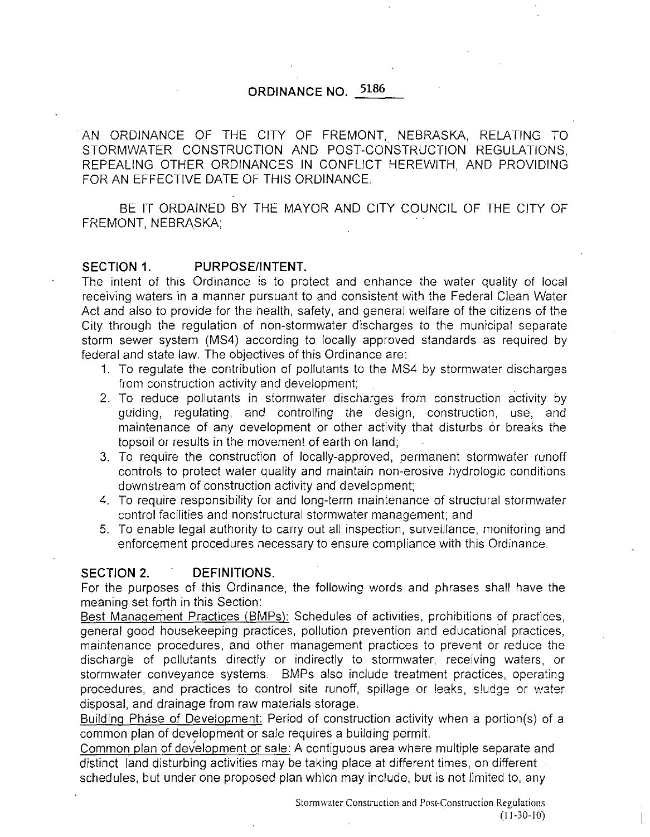## **ORDINANCE NO. 5186**

AN ORDINANCE OF THE CITY OF FREMONT, NEBRASKA, RELATING TO STORMWATER CONSTRUCTION AND POST-CONSTRUCTION REGULATIONS, REPEALING OTHER ORDINANCES **IN** CONFLICT HEREWITH, AND PROVIDING FOR AN EFFECTIVE DATE OF THIS ORDINANCE.

BE **IT** ORDAINED BY THE MAYOR AND CITY COUNCIL OF THE CITY OF FREMONT, NEBRASKA;

#### SECTION 1. PURPOSE/INTENT.

The intent of this Ordinance is to protect and enhance the water quality of local receiving waters in a manner pursuant to and consistent with the Federal Clean Water Act and also to provide for the health, safety, and general welfare of the citizens of the City through the regulation of non-stormwater discharges to the municipal separate storm sewer system (MS4) according to locally approved standards as required by federal and state law. The objectives of this Ordinance are:

- 1. To regulate the contribution of pollutants to the MS4 by stormwater discharges from construction activity and development;
- 2. To reduce pollutants in stormwater discharges from construction activity by guiding, regulating, and controlling the design, construction, use, and maintenance of any development or other activity that disturbs or breaks the topsoil or results in the movement of earth on land;
- 3. To require the construction of locally-approved, permanent stormwater runoff controls to protect water quality and maintain non-erosive hydrologic conditions downstream of construction activity and development;
- 4. To require responsibility for and long-term maintenance of structural stormwater control facilities and nonstructural stormwater management; and
- 5. To enable legal authority to carry out all inspection, surveillance, monitoring and enforcement procedures necessary to ensure compliance with this Ordinance.

### **SECTION 2. DEFINITIONS.**

For the purposes of this Ordinance, the following words and phrases shall have the meaning set forth in this Section:

Best Management Practices (BMPs): Schedules of activities, prohibitions of practices, general good housekeeping practices, pollution prevention and educational practices, maintenance procedures, and other management practices to prevent or reduce the discharge of pollutants directly or indirectly to stormwater, receiving waters, or stormwater conveyance systems. BMPs also include treatment practices, operating procedures, and practices to control site runoff, spillage or leaks, sludge or water disposal, and drainage from raw materials storage.

Building Phase of Development: Period of construction activity when a portion(s) of a common plan of development or sale requires a building permit.

Common plan of development or sale: A contiguous area where multiple separate and distinct land disturbing activities may be taking place at different times, on different schedules, but under one proposed plan which may include, but is not limited to, any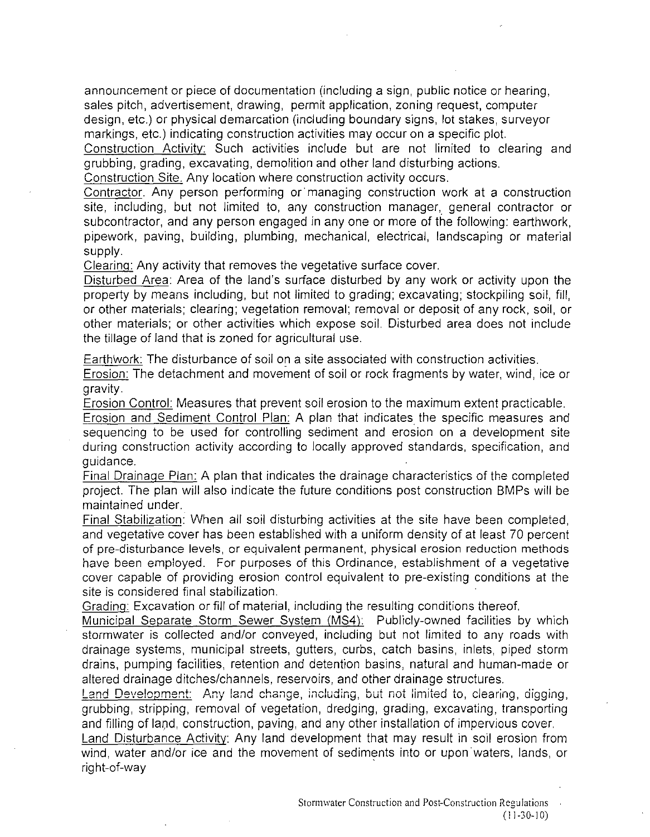announcement or piece of documentation (including a sign, public notice or hearing, sales pitch, advertisement, drawing, permit application, zoning request, computer design, etc.) or physical demarcation (including boundary signs, lot stakes, surveyor markings, etc.) indicating construction activities may occur on a specific plot.

Construction Activity: Such activities include but are not limited to clearing and grubbing, grading, excavating, demolition and other land disturbing actions.

Construction Site. Any location where construction activity occurs.

Contractor. Any person performing or managing construction work at a construction site, including, but not limited to, any construction manager, general contractor or subcontractor, and any person engaged in anyone or more of the following: earthwork, pipework, paving, building, plumbing, mechanical, electrical, landscaping or material supply.

Clearing: Any activity that removes the vegetative surface cover.

Disturbed Area: Area of the land's surface disturbed by any work or activity upon the property by means including, but not limited to grading; excavating; stockpiling soil, fill, or other materials; clearing; vegetation removal; removal or deposit of any rock, soil, or other materials; or other activities which expose soil. Disturbed area does not include the tillage of land that is zoned for agricultural use.

Earthwork: The disturbance of soil on a site associated with construction activities.

Erosion: The detachment and movement of soil or rock fragments by water, wind, ice or gravity.

Erosion Control: Measures that prevent soil erosion to the maximum extent practicable.

Erosion and Sediment Control Plan: A plan that indicates the specific measures and sequencing to be used for controlling sediment and erosion on a development site during construction activity according to locally approved standards, specification, and guidance.

Final Drainage Plan: A plan that indicates the drainage characteristics of the completed project. The plan will also indicate the future conditions post construction BMPs will be maintained under.

Final Stabilization: When all soil disturbing activities at the site have been completed, and vegetative cover has been established with a uniform density of at least 70 percent of pre-disturbance levels, or equivalent permanent, physical erosion reduction methods have been employed. For purposes of this Ordinance, establishment of a vegetative cover capable of providing erosion control equivalent to pre-existing conditions at the site is considered final stabilization

Grading: Excavation or fill of material, including the resulting conditions thereof.

Municipal Separate Storm Sewer System (MS4): Publicly-owned facilities by which stormwater is collected and/or conveyed, including but not limited to any roads with drainage systems, municipal streets, gutters, curbs, catch basins, inlets, piped storm drains, pumping facilities, retention and detention basins, natural and human-made or altered drainage ditches/channels, reservoirs, and other drainage structures.

Land Development: Any land change, including, but not limited to, clearing, digging, grubbing, stripping, removal of vegetation, dredging, grading, excavating, transporting and filling of land, construction, paving, and any other installation of impervious cover.

Land Disturbance Activity: Any land development that may result in soil erosion from wind, water and/or ice and the movement of sediments into or upon waters, lands, or right-of-way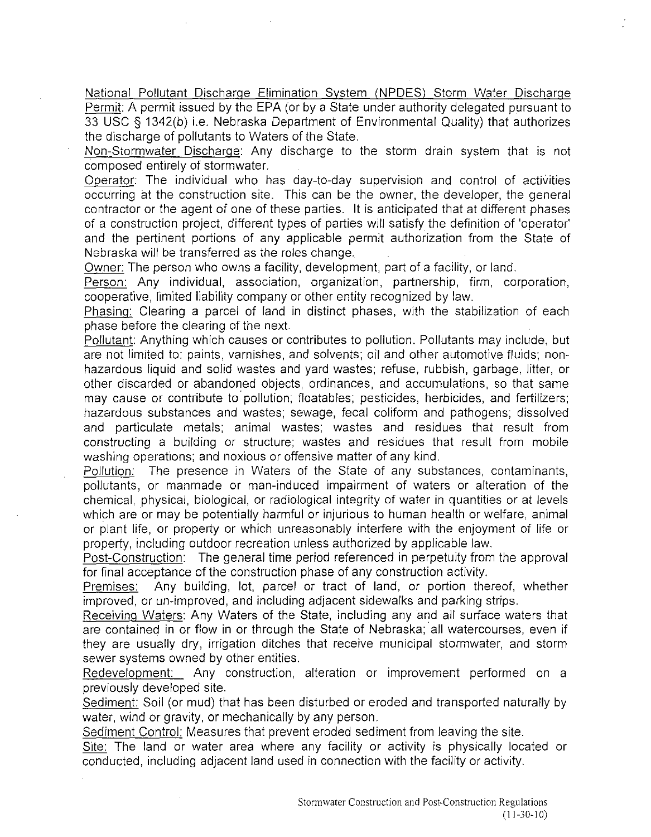National Pollutant Discharge Elimination System (NPDES) Storm Water Discharge Permit: A permit issued by the EPA (or by a State under authority delegated pursuant to 33 USC § 1342(b) i.e. Nebraska Department of Environmental Quality) that authorizes the discharge of pollutants to Waters of the State.

Non-Stormwater Discharge: Any discharge to the storm drain system that is not composed entirely of stormwater.

Operator: The individual who has day-to-day supervision and control of activities occurring at the construction site. This can be the owner, the developer, the general contractor or the agent of one of these parties. It is anticipated that at different phases of a construction project, different types of parties will satisfy the definition of 'operator' and the pertinent portions of any applicable permit authorization from the State of Nebraska will be transferred as the roles change.

Owner: The person who owns a facility, development, part of a facility, or land.

Person: Any individual, association, organization, partnership, firm, corporation, cooperative, limited liability company or other entity recognized by law.

Phasing: Clearing a parcel of land in distinct phases, with the stabilization of each phase before the clearing of the next.

Pollutant: Anything which causes or contributes to pollution. Pollutants may include, but are not limited to: paints, varnishes, and solvents; oil and other automotive fluids; nonhazardous liquid and solid wastes and yard wastes; refuse, rubbish, garbage, litter, or other discarded or abandoned objects, ordinances, and accumulations, so that same may cause or contribute to pollution; floatables; pesticides, herbicides, and fertilizers; hazardous substances and wastes; sewage, fecal coliform and pathogens; dissolved and particulate metals; animal wastes; wastes and residues that result from constructing a building or structure; wastes and residues that result from mobile washing operations; and noxious or offensive matter of any kind.

Pollution: The presence in Waters of the State of any substances, contaminants, pollutants, or manmade or man-induced impairment of waters or alteration of the chemical, physical, biological, or radiological integrity of water in quantities or at levels which are or may be potentially harmful or injurious to human health or welfare, animal or plant life, or property or which unreasonably interfere with the enjoyment of life or property, including outdoor recreation unless authorized by applicable law.

Post-Construction: The general time period referenced in perpetuity from the approval for final acceptance of the construction phase of any construction activity.

Premises: Any building, lot, parcel or tract of land, or portion thereof, whether improved, or un-improved, and including adjacent sidewalks and parking strips.

Receiving Waters: Any Waters of the State, including any and all surface waters that are contained in or flow in or through the State of Nebraska; all watercourses, even if they are usually dry, irrigation ditches that receive municipal stormwater, and storm sewer systems owned by other entities.

Redevelopment: Any construction, alteration or improvement performed on a previously developed site.

Sediment: Soil (or mud) that has been disturbed or eroded and transported naturally by water, wind or gravity, or mechanically by any person.

Sediment Control: Measures that prevent eroded sediment from leaving the site.

Site: The land or water area where any facility or activity is physically located or conducted, including adjacent land used in connection with the facility or activity.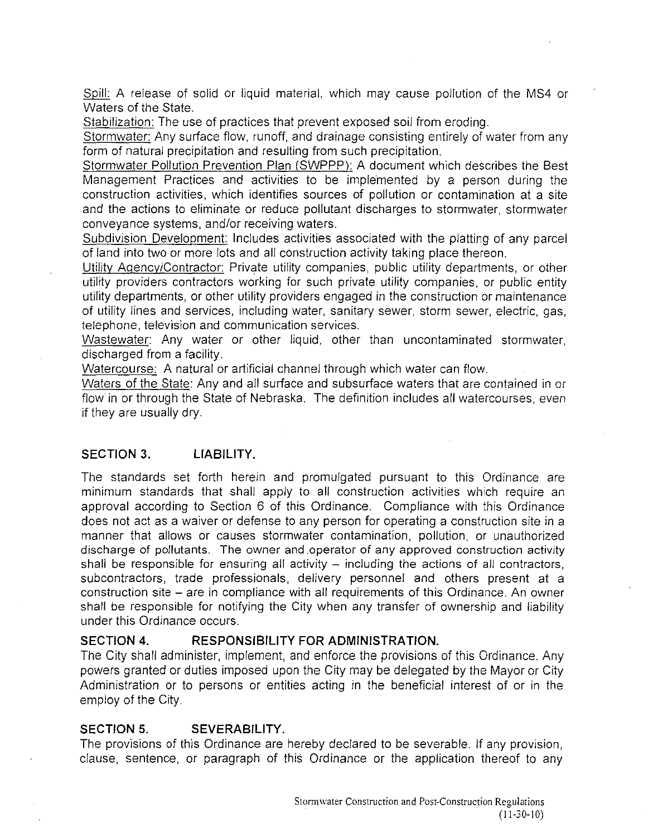Spill: A release of solid or liquid material, which may cause pollution of the MS4 or Waters of the State.

Stabilization: The use of practices that prevent exposed soil from eroding.

Stormwater: Any surface flow, runoff, and drainage consisting entirely of water from any form of natural precipitation and resulting from such precipitation.

Stormwater Pollution Prevention Plan (SWPPP): A document which describes the Best Management Practices and activities to be implemented by a person during the construction activities, which identifies sources of pollution or contamination at a site and the actions to eliminate or reduce pollutant discharges to stormwater, stormwater conveyance systems, and/or receiving waters.

Subdivision Development: Includes activities associated with the platting of any parcel of land into two or more lots and all construction activity taking place thereon.

Utility Agency/Contractor: Private utility companies, public utility departments, or other utility providers contractors working for such private utility companies, or public entity utility departments, or other utility providers engaged in the construction or maintenance of utility lines and services, including water, sanitary sewer, storm sewer, electric, gas, telephone, television and communication services.

Wastewater: Any water or other liquid, other than uncontaminated stormwater, discharged from a facility.

Watercourse: A natural or artificial channel through which water can flow.

Waters of the State: Any and all surface and subsurface waters that are contained in or flow in or through the State of Nebraska. The definition includes all watercourses, even if they are usually dry.

#### **SECTION 3. LIABILITY.**

The standards set forth herein and promulgated pursuant to this Ordinance are minimum standards that shall apply to all construction activities which require an approval according to Section 6 of this Ordinance. Compliance with this Ordinance does not act as a waiver or defense to any person for operating a construction site in a manner that allows or causes stormwater contamination, pollution, or unauthorized discharge of pollutants. The owner and operator of any approved construction activity shall be responsible for ensuring all activity  $-$  including the actions of all contractors, subcontractors, trade professionals, delivery personnel and others present at a construction site – are in compliance with all requirements of this Ordinance. An owner shall be responsible for notifying the City when any transfer of ownership and liability under this Ordinance occurs.

#### **SECTION 4. RESPONSIBILITY FOR ADMINISTRATION.**

The City shall administer, implement, and enforce the provisions of this Ordinance. Any powers granted or duties imposed upon the City may be delegated by the Mayor or City Administration or to persons or entities acting in the beneficial interest of or in the employ of the City.

#### **SECTION 5. SEVERABILITY.**

The provisions of this Ordinance are hereby declared to be severable. If any provision, clause, sentence, or paragraph of this Ordinance or the application thereof to any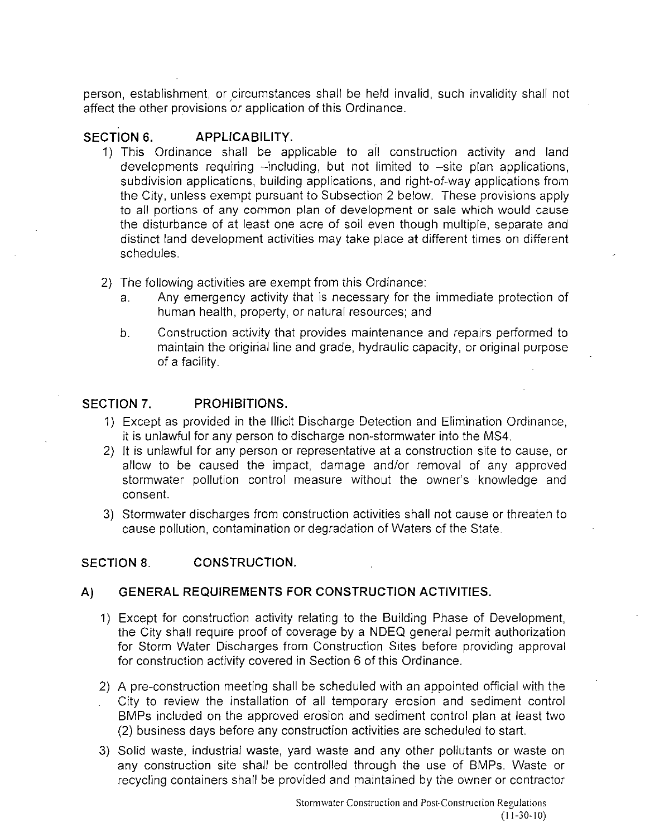person, establishment, or circumstances shall be held invalid, such invalidity shall not affect the other provisions or application of this Ordinance.

## **SECTION 6. APPLICABILITY.**

- 1) **This** Ordinance shall be applicable to all construction activity and land developments requiring -including, but not limited to -site plan applications, subdivision applications, building applications, and right-of-way applications from the City, unless exempt pursuant to Subsection 2 below. These provisions apply to all portions of any common plan of development or sale which would cause the disturbance of at least one acre of soil even though multiple, separate and distinct land development activities may take place at different times on different schedules.
- 2) **The** following activities are exempt from this Ordinance:
	- a. Any emergency activity that is necessary for the immediate protection of human health, property, or natural resources; and
	- b. Construction activity that provides maintenance and repairs performed to maintain the original line and grade, hydraulic capacity, or original purpose of a facility.

### **SECTION 7. PROHIBITIONS.**

- 1) Except as provided in the Illicit Discharge Detection and Elimination Ordinance, it is unlawful for any person to discharge non-stormwater into the MS4.
- 2) It is unlawful for any person or representative at a construction site to cause, or allow to be caused the impact, damage and/or removal of any approved stormwater pollution control measure without the owner's knowledge and consent.
- 3) Stormwater discharges from construction activities shall not cause or threaten to cause pollution, contamination or degradation of Waters of the State.

### **SECTION 8. CONSTRUCTION.**

## **A) GENERAL REQUIREMENTS FOR CONSTRUCTION ACTIVITIES.**

- 1) Except for construction activity relating to the Building Phase of Development, the City shall require proof of coverage by a **NDEQ** general permit authorization for Storm Water Discharges from Construction Sites before providing approval for construction activity covered **in** Section 6 of this Ordinance.
- 2) A pre-construction meeting shall be scheduled with an appointed official with the City to review the installation of all temporary erosion and sediment control BMPs included on the approved erosion and sediment control plan at least two (2) business days before any construction activities are scheduled to start.
- 3) Solid waste, industrial waste, yard waste and any other pollutants or waste on any construction site shall be controlled through the use of BMPs. Waste or recycling containers shall be provided and maintained by the owner or contractor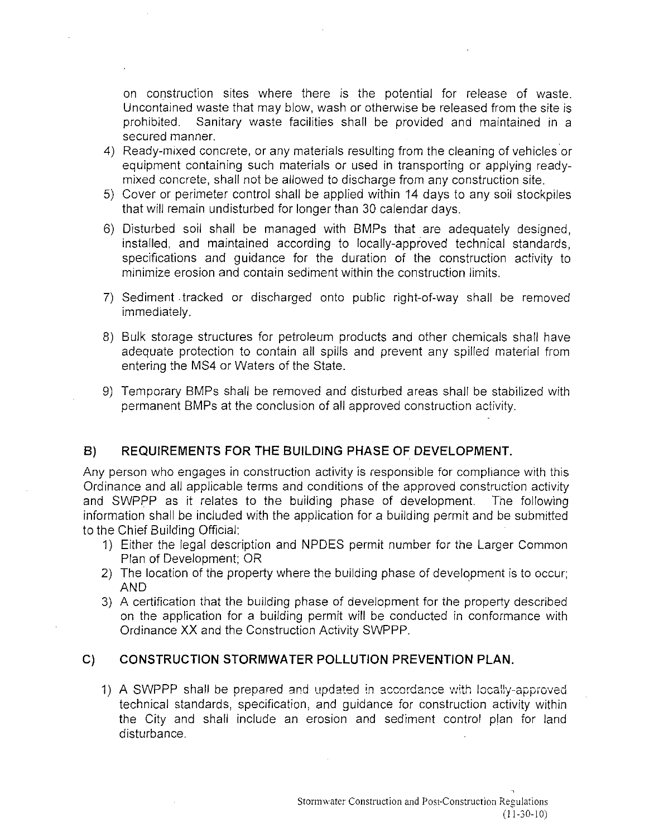on construction sites where there is the potential for release of waste. Uncontained waste that may blow, wash or otherwise be released from the site is prohibited. Sanitary waste facilities shall be provided and maintained in a secured manner.

- 4) Ready-mixed concrete, or any materials resulting from the cleaning of vehicles or equipment containing such materials or used in transporting or applying readymixed concrete, shall not be allowed to discharge from any construction site.
- 5) Cover or perimeter control shall be applied within 14 days to any soil stockpiles that will remain undisturbed for longer than 30 calendar days.
- 6) Disturbed soil shall be managed with BMPs that are adequately designed, installed, and maintained according to locally-approved technical standards, specifications and guidance for the duration of the construction activity to minimize erosion and contain sediment within the construction limits.
- 7) Sediment. tracked or discharged onto public right-of-way shall be removed immediately.
- 8) Bulk storage structures for petroleum products and other chemicals shall have adequate protection to contain all spills and prevent any spilled material from entering the MS4 or Waters of the State.
- 9) Temporary BMPs shall be removed and disturbed areas shall be stabilized with permanent BMPs at the conclusion of all approved construction activity.

## **B) REQUIREMENTS FOR THE BUILDING PHASE OF DEVELOPMENT.**

Any person who engages in construction activity is responsible for compliance with this Ordinance and all applicable terms and conditions of the approved construction activity and SWPPP as it relates to the building phase of development. The following information shall be included with the application for a building permit and be submitted to the Chief Building Official:

- 1) Either the legal description and NPDES permit number for the Larger Common Plan of Development; OR
- 2) The location of the property where the building phase of development is to occur; AND '
- 3) A certification that the building phase of development for the property described on the application for a building permit will be conducted in conformance with Ordinance XX and the Construction Activity SWPPP.

### **C) CONSTRUCTION STORMWATER POLLUTION PREVENTION PLAN.**

1) A SWPPP shall be prepared and updated in accordance with locally-approved technical standards, specification, and guidance for construction activity within the City and shall include an erosion and sediment control plan for land disturbance.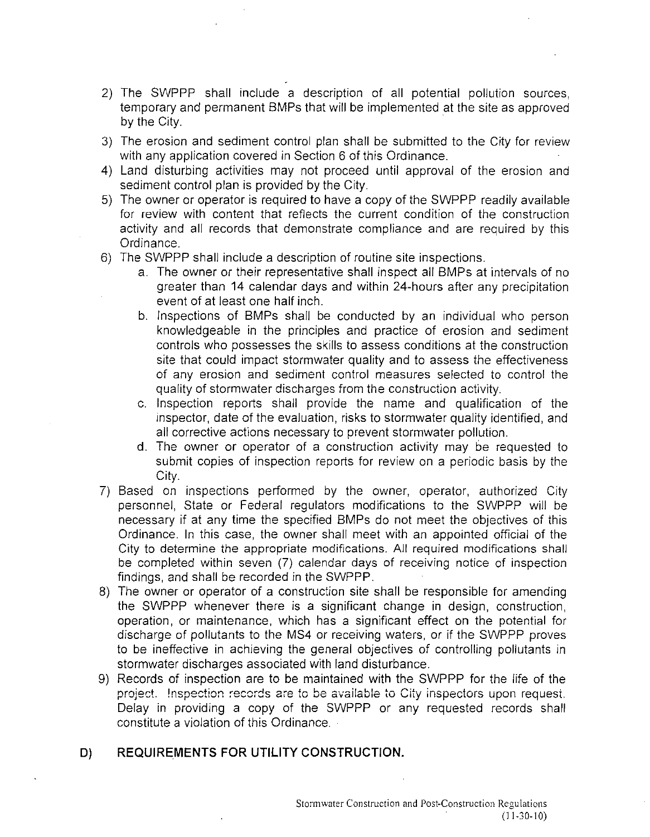- 2) The SWPPP shall include a description of all potential pollution sources, temporary and permanent BMPs that will be implemented at the site as approved by the City.
- 3) The erosion and sediment control plan shall be submitted to the City for review with any application covered in Section 6 of this Ordinance.
- 4) Land disturbing activities may not proceed until approval of the erosion and sediment control plan is provided by the City.
- 5) The owner or operator is required to have a copy of the SWPPP readily available for review with content that reflects the current condition of the construction activity and all records that demonstrate compliance and are required by this Ordinance.
- 6) The SWPPP shall include a description of routine site inspections.
	- a. The owner or their representative shall inspect all BMPs at intervals of no greater than 14 calendar days and within 24-hours after any precipitation event of at least one half inch.
	- b. Inspections of BMPs shall be conducted by an individual who person knowledgeable in the principles and practice of erosion and sediment controls who possesses the skills to assess conditions at the construction site that could impact stormwater quality and to assess the effectiveness of any erosion and sediment control measures selected to control the quality of stormwater discharges from the construction activity.
	- c. Inspection reports shall provide the name and qualification of the inspector, date of the evaluation, risks to stormwater quality identified, and all corrective actions necessary to prevent stormwater pollution.
	- d. The owner or operator of a construction activity may be requested to submit copies of inspection reports for review on a periodic basis by the City.
- 7) Based on inspections performed by the owner, operator, authorized City personnel, State or Federal regulators modifications to the SWPPP will be necessary if at any time the specified BMPs do not meet the objectives of this Ordinance. In this case, the owner shall meet with an appointed official of the City to determine the appropriate modifications. All required modifications shall be completed within seven (7) calendar days of receiving notice of inspection findings, and shall be recorded in the SWPPP.
- 8) The owner or operator of a construction site shall be responsible for amending the SWPPP whenever there is a significant change in design, construction, operation, or maintenance, which has a significant effect on the potential for discharge of pollutants to the MS4 or receiving waters, or if the SWPPP proves to be ineffective in achieving the general objectives of controlling pollutants in stormwater discharges associated with land disturbance.
- 9) Records of inspection are to be maintained with the SWPPP for the life of the project. Inspection records are to be available to City inspectors upon request. Delay in providing a copy of the SWPPP or any requested records shall constitute a violation of this Ordinance.

### **DJ REQUIREMENTS FOR UTILITY CONSTRUCTION.**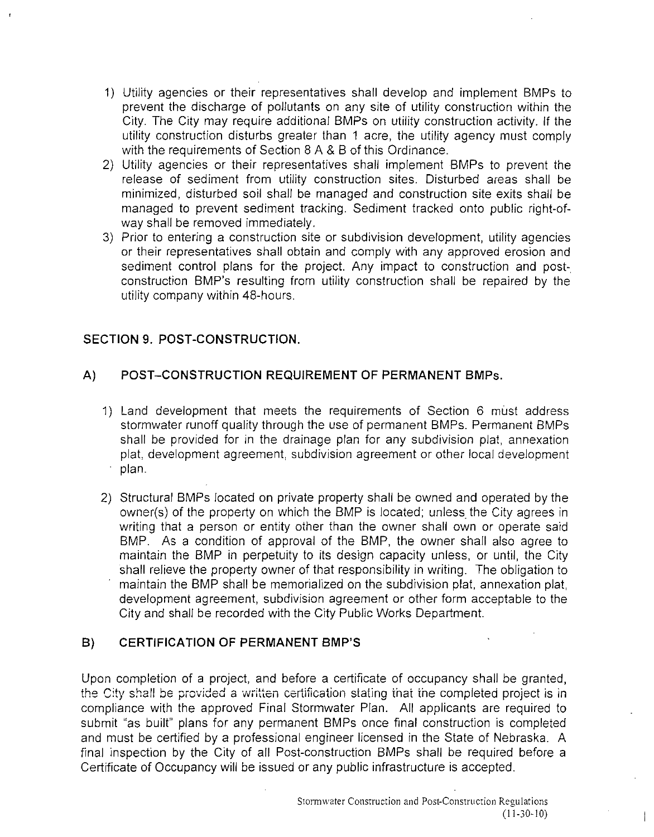- 1) Utility agencies or their representatives shall develop and implement BMPs to prevent the discharge of pollutants on any site of utility construction within the City. The City may require additional BMPs on utility construction activity. If the utility construction disturbs greater than 1 acre, the utility agency must comply with the requirements of Section 8 A & B of this Ordinance.
- 2) Utility agencies or their representatives shall implement BMPs to prevent the release of sediment from utility construction sites. Disturbed areas shall be minimized, disturbed soil shall be managed and construction site exits shall be managed to prevent sediment tracking. Sediment tracked onto public right-ofway shall be removed immediately.
- 3) Prior to entering a construction site or subdivision development, utility agencies or their representatives shall obtain and comply with any approved erosion and sediment control plans for the project. Any impact to construction and postconstruction BMP's resulting from utility construction shall be repaired by the utility company within 48-hours.

### **SECTION 9. POST-CONSTRUCTION.**

### **A) POST-CONSTRUCTION REQUIREMENT OF PERMANENT** BMPs.

- 1) Land development that meets the requirements of Section 6 must address stormwater runoff quality through the use of permanent BMPs. Permanent BMPs shall be provided for in the drainage plan for any subdivision plat, annexation plat, development agreement, subdivision agreement or other local development plan.
- 2) Structural BMPs located on private property shall be owned and operated by the owner(s) of the property on which the BMP is located; unless the City agrees in writing that a person or entity other than the owner shall own or operate said BMP. As a condition of approval of the BMP, the owner shall also agree to maintain the BMP in perpetuity to its design capacity unless, or until, the City shall relieve the property owner of that responsibility in writing. The obligation to maintain the BMP shall be memorialized on the subdivision plat, annexation plat, development agreement, subdivision agreement or other form acceptable to the City and shall be recorded with the City Public Works Department.

### **B) CERTIFICATION OF PERMANENT BMP'S**

Upon completion of a project, and before a certificate of occupancy shall be granted, the City shall be provided a written certification stating that the completed project is in compliance with the approved Final Stormwater Plan. All applicants are required to submit "as built" plans for any permanent BMPs once final construction is completed and must be certified by a professional engineer licensed in the State of Nebraska. A final inspection by the City of all Post-construction BMPs shall be required before a Certificate of Occupancy will be issued or any public infrastructure is accepted.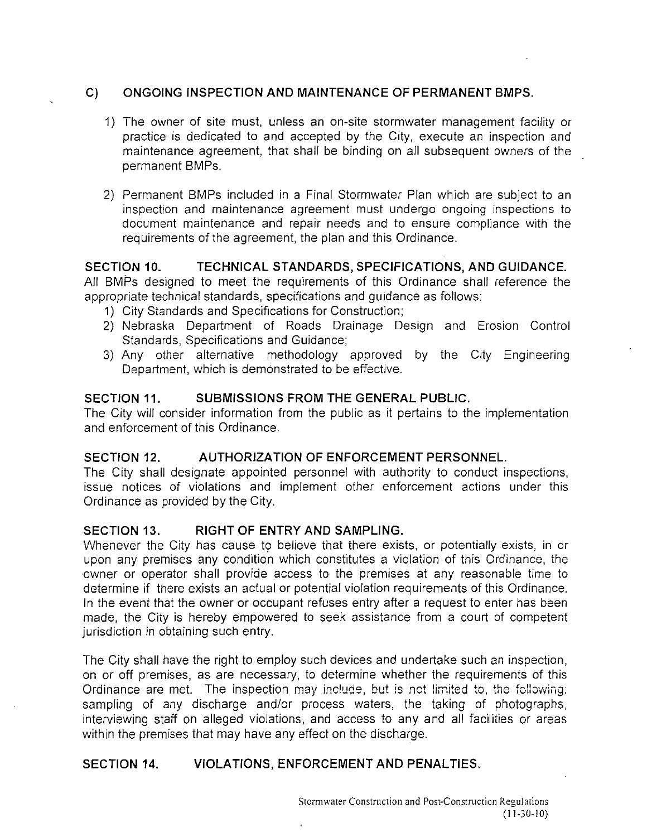### **C) ONGOING INSPECTION AND MAINTENANCE OF PERMANENT BMPS.**

- 1) **The** owner of site must, unless an on-site stormwater management facility or practice is dedicated to and accepted by the City, execute an inspection and maintenance agreement, that shall be binding on all subsequent owners of the permanent BMPs.
- 2) Permanent BMPs included in a Final Stormwater Plan which are subject to an inspection and maintenance agreement must undergo ongoing inspections to document maintenance and repair needs and to ensure compliance with the requirements of the agreement, the plan and this Ordinance.

### **SECTION 10. TECHNICAL STANDARDS, SPECIFICATIONS, AND GUIDANCE.**

All BMPs designed to meet the requirements of this Ordinance shall reference the appropriate technical standards, specifications and guidance as follows:

- 1) City Standards and Specifications for Construction;
- 2) Nebraska Department of Roads Drainage Design and Erosion Control Standards, Specifications and Guidance;
- 3) Any other alternative methodology approved by the City Engineering Department, which is demonstrated to be effective.

### **SECTION 11. SUBMISSIONS FROM THE GENERAL PUBLIC.**

**The** City will consider information from the public as it pertains to the implementation and enforcement of this Ordinance.

## **SECTION 12. AUTHORIZATION OF ENFORCEMENT PERSONNEL.**

**The** City shall designate appointed personnel with authority to conduct inspections, issue notices of violations and implement other enforcement actions under this Ordinance as provided by the City.

### **SECTION 13. RIGHT OF ENTRY AND SAMPLING.**

Whenever the City has cause to believe that there exists, or potentially exists, in or upon any premises any condition which constitutes a violation of this Ordinance, the ·owner or operator shall provide access to the premises at any reasonable time to determine if there exists an actual or potential violation requirements of this Ordinance. In the event that the owner or occupant refuses entry after a request to enter has been made, the City is hereby empowered to seek assistance from a court of competent jurisdiction in obtaining such entry.

**The** City shall have the right to employ such devices and undertake such an inspection, on or off premises, as are necessary, to determine whether the requirements of this Ordinance are met. **The** inspection may include, but is not limited to, the following: sampling of any discharge and/or process waters, the taking of photographs, interviewing staff on alleged violations, and access to any and all facilities or areas within the premises that may have any effect on the discharge.

### SECTION 14. VIOLATIONS, ENFORCEMENT AND PENALTIES.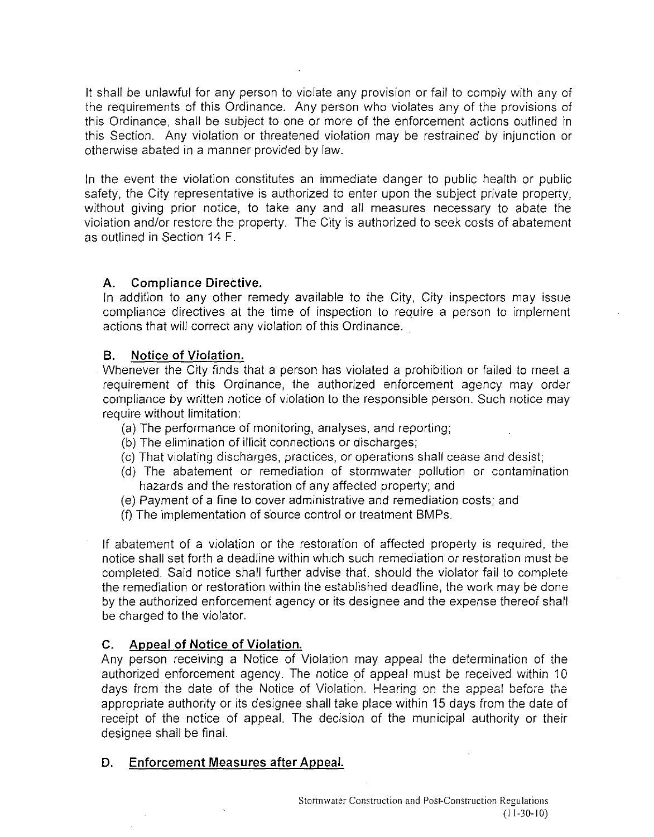It shall be unlawful for any person to violate any provision or fail to comply with any of the requirements of this Ordinance. Any person who violates any of the provisions of this Ordinance, shall be subject to one or more of the enforcement actions outlined in this Section. Any violation or threatened violation may be restrained by injunction or otherwise abated in a manner provided by law.

In the event the violation constitutes an immediate danger to public health or public safety, the City representative is authorized to enter upon the subject private property, without giving prior notice, to take any and all measures necessary to abate the violation and/or restore the property. The City is authorized to seek costs of abatement as outlined in Section 14 F.

### A. Compliance Directive.

In addition to any other remedy available to the City, City inspectors may issue compliance directives at the time of inspection to require a person to implement actions that will correct any violation of this Ordinance.

### B. Notice of Violation.

Whenever the City finds that a person has violated a prohibition or failed to meet a requirement of this Ordinance, the authorized enforcement agency may order compliance by written notice of violation to the responsible person. Such notice may require without limitation:

- (a) The performance of monitoring, analyses, and reporting;
- (b) The elimination of illicit connections or discharges;
- (c) That violating discharges, practices, or operations shall cease and desist;
- (d) The abatement or remediation of stormwater pollution or contamination hazards and the restoration of any affected property; and
- (e) Payment of a fine to cover administrative and remediation costs; and
- (f) The implementation of source control or treatment BMPs.

If abatement of a violation or the restoration of affected property is required, the notice shall set forth a deadline within which such remediation or restoration must be completed. Said notice shall further advise that, should the violator fail to complete the remediation or restoration within the established deadline, the work may be done by the authorized enforcement agency or its designee and the expense thereof shall be charged to the violator.

## C. Appeal of Notice of Violation.

Any person receiving a Notice of Violation may appeal the determination of the authorized enforcement agency. The notice of appeal must be received within 10 days from' the date of the Notice of Violation. Hearing on the appeal before the appropriate authority or its designee shall take place within 15 days from the date of receipt of the notice of appeal. The decision of the municipal authority or their designee shall be final.

## D. Enforcement Measures after Appeal.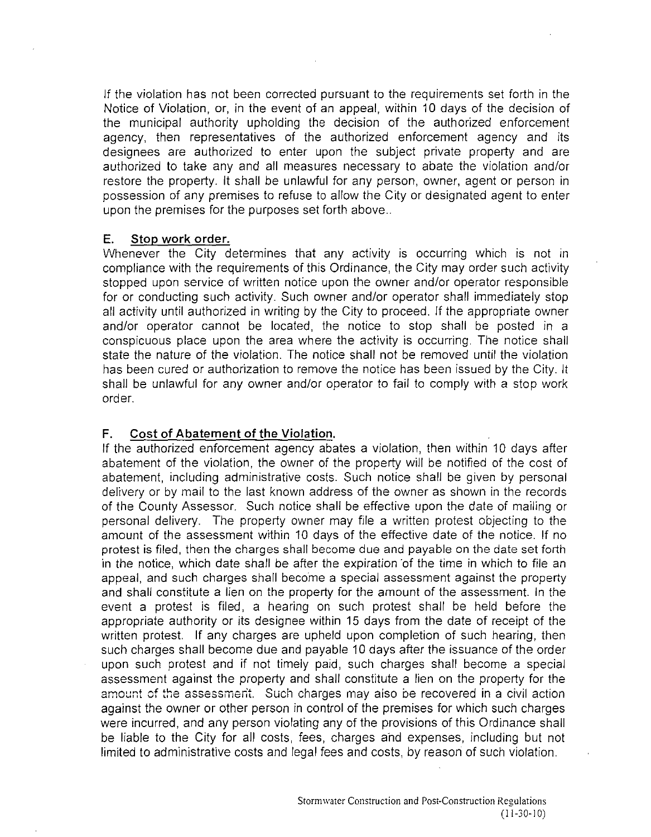If the violation has not been corrected pursuant to the requirements set forth in the Notice of Violation, or, in the event of an appeal, within 10 days of the decision of the municipal authority upholding the decision of the authorized enforcement agency, then representatives of the authorized enforcement agency and its designees are authorized to enter upon the subject private property and are authorized to take any and all measures necessary to abate the violation and/or restore the property. It shall be unlawful for any person, owner, agent or person in possession of any premises to refuse to allow the City or designated agent to enter upon the premises for the purposes set forth above...

#### E. Stop work order.

Whenever the City determines that any activity is occurring which is not in compliance with the requirements of this Ordinance, the City may order such activity stopped upon service of written notice upon the owner and/or operator responsible for or conducting such activity. Such owner and/or operator shall immediately stop all activity until authorized in writing by the City to proceed. If the appropriate owner and/or operator cannot be located, the notice to stop shall be posted in a conspicuous place upon the area where the activity is occurring. The notice shall state the nature of the violation. The notice shall not be removed until the violation has been cured or authorization to remove the notice has been issued by the City. It shall be unlawful for any owner and/or operator to fail to comply with a stop work order.

#### F. Cost of Abatement of the Violation.

If the authorized enforcement agency abates a violation, then within 10 days after abatement of the violation, the owner of the property will be notified of the cost of abatement, including administrative costs. Such notice shall be given by personal delivery or by mail to the last known address of the owner as shown in the records of the County Assessor. Such notice shall be effective upon the date of mailing or personal delivery. The property owner may file a written protest objecting to the amount of the assessment within 10 days of the effective date of the notice. If no protest is filed, then the charges shall become due and payable on the date set forth in the notice, which date shall be after the expiration 'of the time in which to file an appeal, and such charges shall become a special assessment against the property and shall constitute a lien on the property for the amount of the assessment. In the event a protest is filed, a hearing on such protest shall be held before the appropriate authority or its designee within 15 days from the date of receipt of the written protest. If any charges are upheld upon completion of such hearing, then such charges shall become due and payable 10 days after the issuance of the order upon such protest and if not timely paid, such charges shall become a special assessment against the property and shall constitute a lien on the property for the amount of the assessment. Such charges may also be recovered in a civil action against the owner or other person in control of the premises for which such charges were incurred, and any person violating any of the provisions of this Ordinance shall be liable to the City for all costs, fees, charges a'nd expenses, including but not limited to administrative costs and legal fees and costs, by reason of such violation.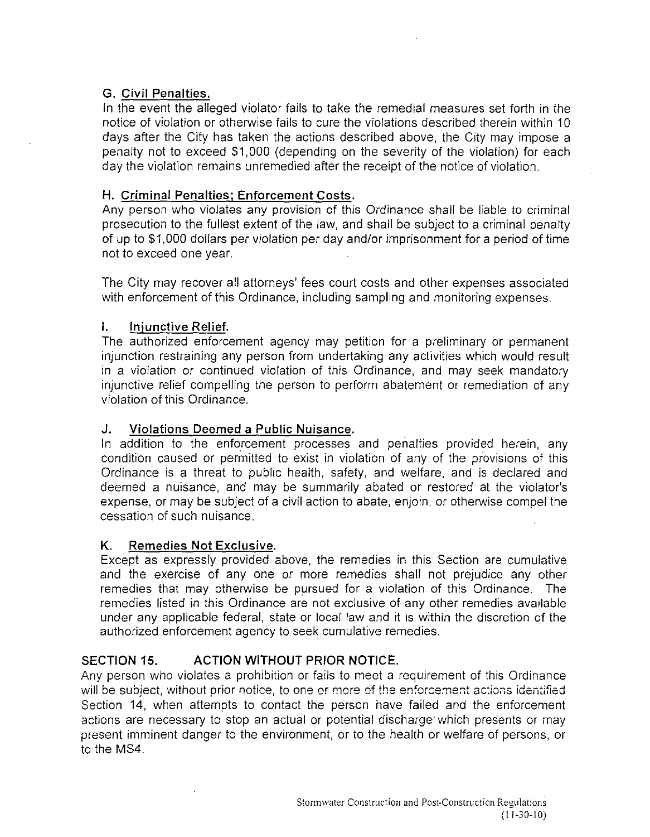### **G. Civil Penalties.**

**In** the event the alleged violator fails to take the remedial measures set forth in the notice of violation or otherwise fails to cure the violations described therein within 10 days after the City has taken the actions described above, the City may impose a penalty not to exceed \$1,000 (depending on the severity of the violation) for each day the violation remains unremedied after the receipt of the notice of violation.

### **H. Criminal Penalties; Enforcement Costs.**

Any person who violates any provision of this Ordinance shall be liable to criminal prosecution to the fullest extent of the law, and shall be subject to a criminal penalty of up to \$1,000 dollars per violation per day and/or imprisonment for a period of time not to exceed one year.

The City may recover all attorneys' fees court costs and other expenses associated with enforcement of this Ordinance, including sampling and monitoring expenses.

### **I. Injunctive Relief.**

The authorized enforcement agency may petition for a preliminary or permanent injunction restraining any person from undertaking any activities which would result in a violation or continued violation of this Ordinance, and may seek mandatory injunctive relief compelling the person to perform abatement or remediation of any violation of this Ordinance.

### **J. Violations Deemed a Public Nuisance.**

In addition to the enforcement processes and penalties provided herein, any condition caused or permitted to exist in violation of any of the provisions of this Ordinance is a threat to public health, safety, and welfare, and is declared and deemed a nuisance, and may be summarily abated or restored at the violator's expense, or may be subject of a civil action to abate, enjoin, or otherwise compel the cessation of such nuisance.

#### **K. Remedies Not Exclusive.**

Except as expressly provided above, the remedies in this Section are cumulative and the exercise of any one or more remedies shall not prejudice any other remedies that may otherwise be pursued for a violation of this Ordinance. The remedies listed in this Ordinance are not exclusive of any other remedies available under any applicable federal, state or local law and it is within the discretion of the authorized enforcement agency to seek cumulative remedies.

### **SECTION 15. ACTION WITHOUT PRIOR NOTICE.**

Any person who violates a prohibition or fails to meet a requirement of this Ordinance will be subject, without prior notice, to one or more of the enforcement actions identified Section 14, when attempts to contact the person have failed and the enforcement actions are necessary to stop an actual or potential discharge which presents or may present imminent danger to the environment, or to the health or welfare of persons, or to the MS4.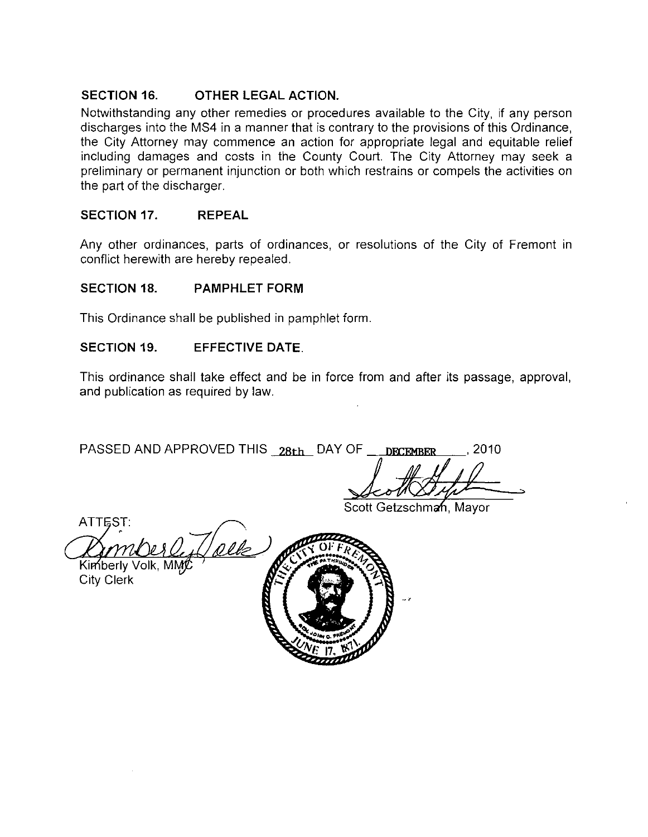### **SECTION 16. OTHER LEGAL ACTION.**

Notwithstanding any other remedies or procedures available to the City, if any person discharges into the MS4 in a manner that is contrary to the provisions of this Ordinance, the City Attorney may commence an action for appropriate legal and equitable relief including damages and costs in the County Court. The City Attorney may seek a preliminary or permanent injunction or both which restrains or compels the activities on the part of the discharger.

#### **SECTION 17. REPEAL**

Any other ordinances, parts of ordinances, or resolutions of the City of Fremont in conflict herewith are hereby repealed.

#### **SECTION 18. PAMPHLET FORM**

This Ordinance shall be published in pamphlet form.

### **SECTION 19. EFFECTIVE DATE.**

This ordinance shall take effect and be in force from and after its passage, approval, and publication as required by law.

PASSED AND APPROVED THIS 28th DAY OF \_ DECEMBER ..., 2010

Scott Getzschman, Mayor

ATTEST: Ollo Kimberly Volk, MMZ City Clerk